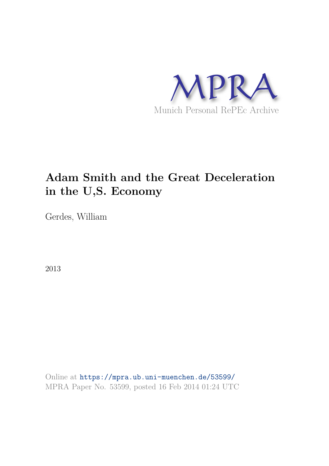

# **Adam Smith and the Great Deceleration in the U,S. Economy**

Gerdes, William

2013

Online at https://mpra.ub.uni-muenchen.de/53599/ MPRA Paper No. 53599, posted 16 Feb 2014 01:24 UTC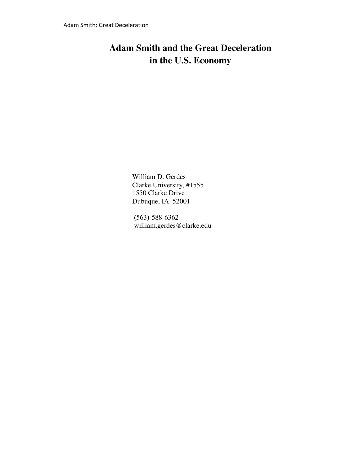# **Adam Smith and the Great Deceleration in the U.S. Economy**

 William D. Gerdes Clarke University, #1555 1550 Clarke Drive Dubuque, IA 52001

 (563)-588-6362 william.gerdes@clarke.edu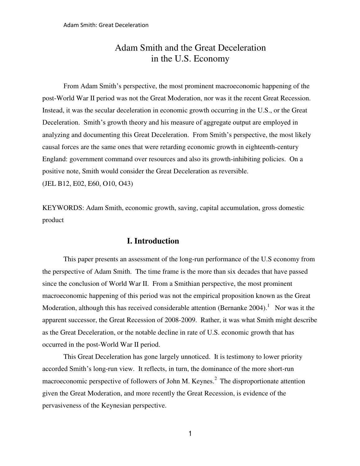# Adam Smith and the Great Deceleration in the U.S. Economy

From Adam Smith's perspective, the most prominent macroeconomic happening of the post-World War II period was not the Great Moderation, nor was it the recent Great Recession. Instead, it was the secular deceleration in economic growth occurring in the U.S., or the Great Deceleration. Smith's growth theory and his measure of aggregate output are employed in analyzing and documenting this Great Deceleration. From Smith's perspective, the most likely causal forces are the same ones that were retarding economic growth in eighteenth-century England: government command over resources and also its growth-inhibiting policies. On a positive note, Smith would consider the Great Deceleration as reversible. (JEL B12, E02, E60, O10, O43)

KEYWORDS: Adam Smith, economic growth, saving, capital accumulation, gross domestic product

## **I. Introduction**

This paper presents an assessment of the long-run performance of the U.S economy from the perspective of Adam Smith. The time frame is the more than six decades that have passed since the conclusion of World War II. From a Smithian perspective, the most prominent macroeconomic happening of this period was not the empirical proposition known as the Great Moderation, although this has received considerable attention (Bernanke 2004).<sup>1</sup> Nor was it the apparent successor, the Great Recession of 2008-2009. Rather, it was what Smith might describe as the Great Deceleration, or the notable decline in rate of U.S. economic growth that has occurred in the post-World War II period.

This Great Deceleration has gone largely unnoticed. It is testimony to lower priority accorded Smith's long-run view. It reflects, in turn, the dominance of the more short-run macroeconomic perspective of followers of John M. Keynes.<sup>2</sup> The disproportionate attention given the Great Moderation, and more recently the Great Recession, is evidence of the pervasiveness of the Keynesian perspective.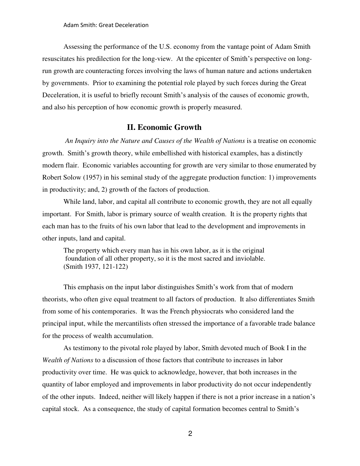Assessing the performance of the U.S. economy from the vantage point of Adam Smith resuscitates his predilection for the long-view. At the epicenter of Smith's perspective on longrun growth are counteracting forces involving the laws of human nature and actions undertaken by governments. Prior to examining the potential role played by such forces during the Great Deceleration, it is useful to briefly recount Smith's analysis of the causes of economic growth, and also his perception of how economic growth is properly measured.

## **II. Economic Growth**

*An Inquiry into the Nature and Causes of the Wealth of Nations* is a treatise on economic growth. Smith's growth theory, while embellished with historical examples, has a distinctly modern flair. Economic variables accounting for growth are very similar to those enumerated by Robert Solow (1957) in his seminal study of the aggregate production function: 1) improvements in productivity; and, 2) growth of the factors of production.

While land, labor, and capital all contribute to economic growth, they are not all equally important. For Smith, labor is primary source of wealth creation. It is the property rights that each man has to the fruits of his own labor that lead to the development and improvements in other inputs, land and capital.

The property which every man has in his own labor, as it is the original foundation of all other property, so it is the most sacred and inviolable. (Smith 1937, 121-122)

This emphasis on the input labor distinguishes Smith's work from that of modern theorists, who often give equal treatment to all factors of production. It also differentiates Smith from some of his contemporaries. It was the French physiocrats who considered land the principal input, while the mercantilists often stressed the importance of a favorable trade balance for the process of wealth accumulation.

As testimony to the pivotal role played by labor, Smith devoted much of Book I in the *Wealth of Nations* to a discussion of those factors that contribute to increases in labor productivity over time. He was quick to acknowledge, however, that both increases in the quantity of labor employed and improvements in labor productivity do not occur independently of the other inputs. Indeed, neither will likely happen if there is not a prior increase in a nation's capital stock. As a consequence, the study of capital formation becomes central to Smith's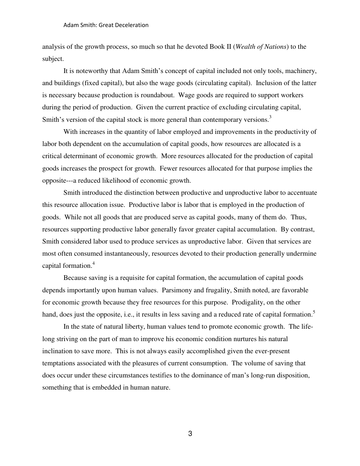analysis of the growth process, so much so that he devoted Book II (*Wealth of Nations*) to the subject.

It is noteworthy that Adam Smith's concept of capital included not only tools, machinery, and buildings (fixed capital), but also the wage goods (circulating capital). Inclusion of the latter is necessary because production is roundabout. Wage goods are required to support workers during the period of production. Given the current practice of excluding circulating capital, Smith's version of the capital stock is more general than contemporary versions.<sup>3</sup>

With increases in the quantity of labor employed and improvements in the productivity of labor both dependent on the accumulation of capital goods, how resources are allocated is a critical determinant of economic growth. More resources allocated for the production of capital goods increases the prospect for growth. Fewer resources allocated for that purpose implies the opposite---a reduced likelihood of economic growth.

Smith introduced the distinction between productive and unproductive labor to accentuate this resource allocation issue. Productive labor is labor that is employed in the production of goods. While not all goods that are produced serve as capital goods, many of them do. Thus, resources supporting productive labor generally favor greater capital accumulation. By contrast, Smith considered labor used to produce services as unproductive labor. Given that services are most often consumed instantaneously, resources devoted to their production generally undermine capital formation.<sup>4</sup>

Because saving is a requisite for capital formation, the accumulation of capital goods depends importantly upon human values. Parsimony and frugality, Smith noted, are favorable for economic growth because they free resources for this purpose. Prodigality, on the other hand, does just the opposite, i.e., it results in less saving and a reduced rate of capital formation.<sup>5</sup>

In the state of natural liberty, human values tend to promote economic growth. The lifelong striving on the part of man to improve his economic condition nurtures his natural inclination to save more. This is not always easily accomplished given the ever-present temptations associated with the pleasures of current consumption. The volume of saving that does occur under these circumstances testifies to the dominance of man's long-run disposition, something that is embedded in human nature.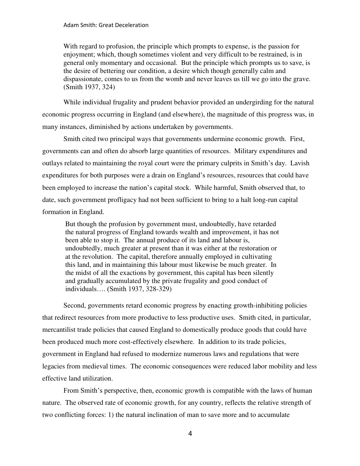With regard to profusion, the principle which prompts to expense, is the passion for enjoyment; which, though sometimes violent and very difficult to be restrained, is in general only momentary and occasional. But the principle which prompts us to save, is the desire of bettering our condition, a desire which though generally calm and dispassionate, comes to us from the womb and never leaves us till we go into the grave. (Smith 1937, 324)

While individual frugality and prudent behavior provided an undergirding for the natural economic progress occurring in England (and elsewhere), the magnitude of this progress was, in many instances, diminished by actions undertaken by governments.

Smith cited two principal ways that governments undermine economic growth. First, governments can and often do absorb large quantities of resources. Military expenditures and outlays related to maintaining the royal court were the primary culprits in Smith's day. Lavish expenditures for both purposes were a drain on England's resources, resources that could have been employed to increase the nation's capital stock. While harmful, Smith observed that, to date, such government profligacy had not been sufficient to bring to a halt long-run capital formation in England.

 But though the profusion by government must, undoubtedly, have retarded the natural progress of England towards wealth and improvement, it has not been able to stop it. The annual produce of its land and labour is, undoubtedly, much greater at present than it was either at the restoration or at the revolution. The capital, therefore annually employed in cultivating this land, and in maintaining this labour must likewise be much greater. In the midst of all the exactions by government, this capital has been silently and gradually accumulated by the private frugality and good conduct of individuals…. (Smith 1937, 328-329)

Second, governments retard economic progress by enacting growth-inhibiting policies that redirect resources from more productive to less productive uses. Smith cited, in particular, mercantilist trade policies that caused England to domestically produce goods that could have been produced much more cost-effectively elsewhere. In addition to its trade policies, government in England had refused to modernize numerous laws and regulations that were legacies from medieval times. The economic consequences were reduced labor mobility and less effective land utilization.

From Smith's perspective, then, economic growth is compatible with the laws of human nature. The observed rate of economic growth, for any country, reflects the relative strength of two conflicting forces: 1) the natural inclination of man to save more and to accumulate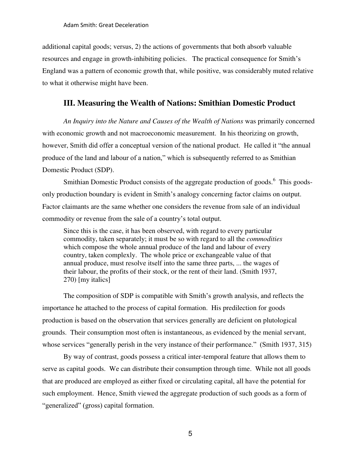additional capital goods; versus, 2) the actions of governments that both absorb valuable resources and engage in growth-inhibiting policies. The practical consequence for Smith's England was a pattern of economic growth that, while positive, was considerably muted relative to what it otherwise might have been.

### **III. Measuring the Wealth of Nations: Smithian Domestic Product**

*An Inquiry into the Nature and Causes of the Wealth of Nations* was primarily concerned with economic growth and not macroeconomic measurement. In his theorizing on growth, however, Smith did offer a conceptual version of the national product. He called it "the annual produce of the land and labour of a nation," which is subsequently referred to as Smithian Domestic Product (SDP).

Smithian Domestic Product consists of the aggregate production of goods.<sup>6</sup> This goodsonly production boundary is evident in Smith's analogy concerning factor claims on output. Factor claimants are the same whether one considers the revenue from sale of an individual commodity or revenue from the sale of a country's total output.

Since this is the case, it has been observed, with regard to every particular commodity, taken separately; it must be so with regard to all the *commodities*  which compose the whole annual produce of the land and labour of every country, taken complexly. The whole price or exchangeable value of that annual produce, must resolve itself into the same three parts, ... the wages of their labour, the profits of their stock, or the rent of their land. (Smith 1937, 270) [my italics]

The composition of SDP is compatible with Smith's growth analysis, and reflects the importance he attached to the process of capital formation. His predilection for goods production is based on the observation that services generally are deficient on plutological grounds. Their consumption most often is instantaneous, as evidenced by the menial servant, whose services "generally perish in the very instance of their performance." (Smith 1937, 315)

By way of contrast, goods possess a critical inter-temporal feature that allows them to serve as capital goods. We can distribute their consumption through time. While not all goods that are produced are employed as either fixed or circulating capital, all have the potential for such employment. Hence, Smith viewed the aggregate production of such goods as a form of "generalized" (gross) capital formation.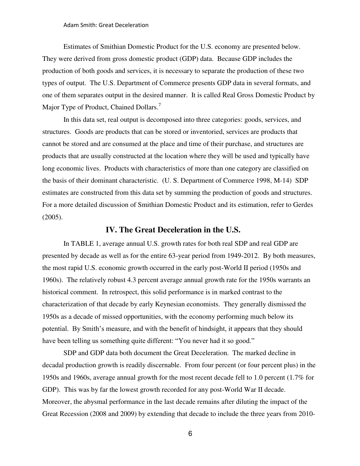Estimates of Smithian Domestic Product for the U.S. economy are presented below. They were derived from gross domestic product (GDP) data. Because GDP includes the production of both goods and services, it is necessary to separate the production of these two types of output. The U.S. Department of Commerce presents GDP data in several formats, and one of them separates output in the desired manner. It is called Real Gross Domestic Product by Major Type of Product, Chained Dollars.<sup>7</sup>

In this data set, real output is decomposed into three categories: goods, services, and structures. Goods are products that can be stored or inventoried, services are products that cannot be stored and are consumed at the place and time of their purchase, and structures are products that are usually constructed at the location where they will be used and typically have long economic lives. Products with characteristics of more than one category are classified on the basis of their dominant characteristic. (U. S. Department of Commerce 1998, M-14) SDP estimates are constructed from this data set by summing the production of goods and structures. For a more detailed discussion of Smithian Domestic Product and its estimation, refer to Gerdes (2005).

#### **IV. The Great Deceleration in the U.S.**

In TABLE 1, average annual U.S. growth rates for both real SDP and real GDP are presented by decade as well as for the entire 63-year period from 1949-2012. By both measures, the most rapid U.S. economic growth occurred in the early post-World II period (1950s and 1960s). The relatively robust 4.3 percent average annual growth rate for the 1950s warrants an historical comment. In retrospect, this solid performance is in marked contrast to the characterization of that decade by early Keynesian economists. They generally dismissed the 1950s as a decade of missed opportunities, with the economy performing much below its potential. By Smith's measure, and with the benefit of hindsight, it appears that they should have been telling us something quite different: "You never had it so good."

SDP and GDP data both document the Great Deceleration. The marked decline in decadal production growth is readily discernable. From four percent (or four percent plus) in the 1950s and 1960s, average annual growth for the most recent decade fell to 1.0 percent (1.7% for GDP). This was by far the lowest growth recorded for any post-World War II decade. Moreover, the abysmal performance in the last decade remains after diluting the impact of the Great Recession (2008 and 2009) by extending that decade to include the three years from 2010-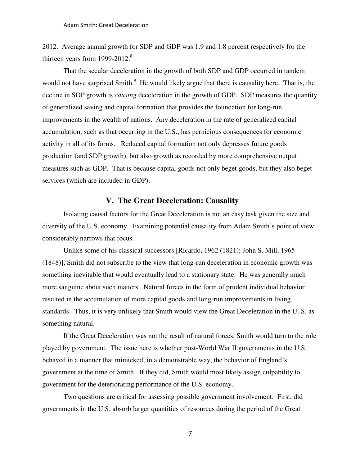2012. Average annual growth for SDP and GDP was 1.9 and 1.8 percent respectively for the thirteen years from  $1999-2012$ .<sup>8</sup>

That the secular deceleration in the growth of both SDP and GDP occurred in tandem would not have surprised Smith.<sup>9</sup> He would likely argue that there is causality here. That is, the decline in SDP growth is *causing* deceleration in the growth of GDP. SDP measures the quantity of generalized saving and capital formation that provides the foundation for long-run improvements in the wealth of nations. Any deceleration in the rate of generalized capital accumulation, such as that occurring in the U.S., has pernicious consequences for economic activity in all of its forms. Reduced capital formation not only depresses future goods production (and SDP growth), but also growth as recorded by more comprehensive output measures such as GDP. That is because capital goods not only beget goods, but they also beget services (which are included in GDP).

### **V. The Great Deceleration: Causality**

Isolating causal factors for the Great Deceleration is not an easy task given the size and diversity of the U.S. economy. Examining potential causality from Adam Smith's point of view considerably narrows that focus.

Unlike some of his classical successors [Ricardo, 1962 (1821); John S. Mill, 1965 (1848)], Smith did not subscribe to the view that long-run deceleration in economic growth was something inevitable that would eventually lead to a stationary state. He was generally much more sanguine about such matters. Natural forces in the form of prudent individual behavior resulted in the accumulation of more capital goods and long-run improvements in living standards. Thus, it is very unlikely that Smith would view the Great Deceleration in the U. S. as something natural.

If the Great Deceleration was not the result of natural forces, Smith would turn to the role played by government. The issue here is whether post-World War II governments in the U.S. behaved in a manner that mimicked, in a demonstrable way, the behavior of England's government at the time of Smith. If they did, Smith would most likely assign culpability to government for the deteriorating performance of the U.S. economy.

Two questions are critical for assessing possible government involvement. First, did governments in the U.S. absorb larger quantities of resources during the period of the Great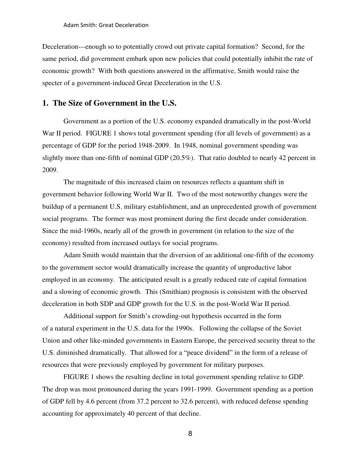Deceleration---enough so to potentially crowd out private capital formation? Second, for the same period, did government embark upon new policies that could potentially inhibit the rate of economic growth? With both questions answered in the affirmative, Smith would raise the specter of a government-induced Great Deceleration in the U.S.

#### **1. The Size of Government in the U.S.**

Government as a portion of the U.S. economy expanded dramatically in the post-World War II period. FIGURE 1 shows total government spending (for all levels of government) as a percentage of GDP for the period 1948-2009. In 1948, nominal government spending was slightly more than one-fifth of nominal GDP (20.5%). That ratio doubled to nearly 42 percent in 2009.

 The magnitude of this increased claim on resources reflects a quantum shift in government behavior following World War II. Two of the most noteworthy changes were the buildup of a permanent U.S. military establishment, and an unprecedented growth of government social programs. The former was most prominent during the first decade under consideration. Since the mid-1960s, nearly all of the growth in government (in relation to the size of the economy) resulted from increased outlays for social programs.

 Adam Smith would maintain that the diversion of an additional one-fifth of the economy to the government sector would dramatically increase the quantity of unproductive labor employed in an economy. The anticipated result is a greatly reduced rate of capital formation and a slowing of economic growth. This (Smithian) prognosis is consistent with the observed deceleration in both SDP and GDP growth for the U.S. in the post-World War II period.

 Additional support for Smith's crowding-out hypothesis occurred in the form of a natural experiment in the U.S. data for the 1990s. Following the collapse of the Soviet Union and other like-minded governments in Eastern Europe, the perceived security threat to the U.S. diminished dramatically. That allowed for a "peace dividend" in the form of a release of resources that were previously employed by government for military purposes.

 FIGURE 1 shows the resulting decline in total government spending relative to GDP. The drop was most pronounced during the years 1991-1999. Government spending as a portion of GDP fell by 4.6 percent (from 37.2 percent to 32.6 percent), with reduced defense spending accounting for approximately 40 percent of that decline.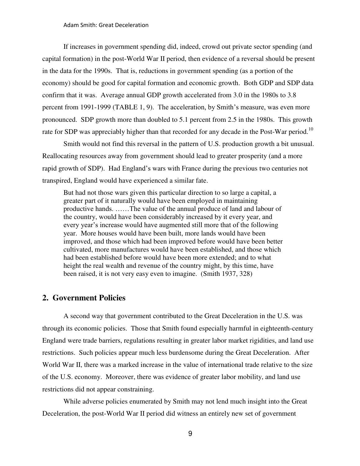If increases in government spending did, indeed, crowd out private sector spending (and capital formation) in the post-World War II period, then evidence of a reversal should be present in the data for the 1990s. That is, reductions in government spending (as a portion of the economy) should be good for capital formation and economic growth. Both GDP and SDP data confirm that it was. Average annual GDP growth accelerated from 3.0 in the 1980s to 3.8 percent from 1991-1999 (TABLE 1, 9). The acceleration, by Smith's measure, was even more pronounced. SDP growth more than doubled to 5.1 percent from 2.5 in the 1980s. This growth rate for SDP was appreciably higher than that recorded for any decade in the Post-War period.<sup>10</sup>

Smith would not find this reversal in the pattern of U.S. production growth a bit unusual. Reallocating resources away from government should lead to greater prosperity (and a more rapid growth of SDP). Had England's wars with France during the previous two centuries not transpired, England would have experienced a similar fate.

But had not those wars given this particular direction to so large a capital, a greater part of it naturally would have been employed in maintaining productive hands. ……The value of the annual produce of land and labour of the country, would have been considerably increased by it every year, and every year's increase would have augmented still more that of the following year. More houses would have been built, more lands would have been improved, and those which had been improved before would have been better cultivated, more manufactures would have been established, and those which had been established before would have been more extended; and to what height the real wealth and revenue of the country might, by this time, have been raised, it is not very easy even to imagine. (Smith 1937, 328)

#### **2. Government Policies**

A second way that government contributed to the Great Deceleration in the U.S. was through its economic policies. Those that Smith found especially harmful in eighteenth-century England were trade barriers, regulations resulting in greater labor market rigidities, and land use restrictions. Such policies appear much less burdensome during the Great Deceleration. After World War II, there was a marked increase in the value of international trade relative to the size of the U.S. economy. Moreover, there was evidence of greater labor mobility, and land use restrictions did not appear constraining.

While adverse policies enumerated by Smith may not lend much insight into the Great Deceleration, the post-World War II period did witness an entirely new set of government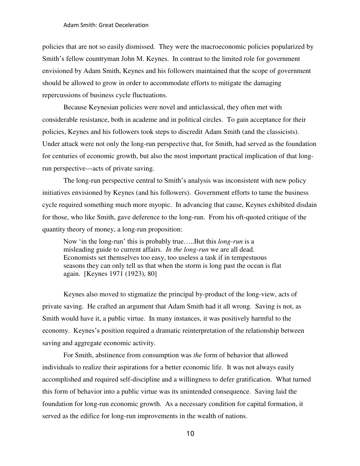policies that are not so easily dismissed. They were the macroeconomic policies popularized by Smith's fellow countryman John M. Keynes. In contrast to the limited role for government envisioned by Adam Smith, Keynes and his followers maintained that the scope of government should be allowed to grow in order to accommodate efforts to mitigate the damaging repercussions of business cycle fluctuations.

Because Keynesian policies were novel and anticlassical, they often met with considerable resistance, both in academe and in political circles. To gain acceptance for their policies, Keynes and his followers took steps to discredit Adam Smith (and the classicists). Under attack were not only the long-run perspective that, for Smith, had served as the foundation for centuries of economic growth, but also the most important practical implication of that longrun perspective---acts of private saving.

The long-run perspective central to Smith's analysis was inconsistent with new policy initiatives envisioned by Keynes (and his followers). Government efforts to tame the business cycle required something much more myopic. In advancing that cause, Keynes exhibited disdain for those, who like Smith, gave deference to the long-run. From his oft-quoted critique of the quantity theory of money, a long-run proposition:

Now 'in the long-run' this is probably true…..But this *long-run* is a misleading guide to current affairs. *In the long-run* we are all dead. Economists set themselves too easy, too useless a task if in tempestuous seasons they can only tell us that when the storm is long past the ocean is flat again. [Keynes 1971 (1923), 80]

Keynes also moved to stigmatize the principal by-product of the long-view, acts of private saving. He crafted an argument that Adam Smith had it all wrong. Saving is not, as Smith would have it, a public virtue. In many instances, it was positively harmful to the economy. Keynes's position required a dramatic reinterpretation of the relationship between saving and aggregate economic activity.

For Smith, abstinence from consumption was *the* form of behavior that allowed individuals to realize their aspirations for a better economic life. It was not always easily accomplished and required self-discipline and a willingness to defer gratification. What turned this form of behavior into a public virtue was its unintended consequence. Saving laid the foundation for long-run economic growth. As a necessary condition for capital formation, it served as the edifice for long-run improvements in the wealth of nations.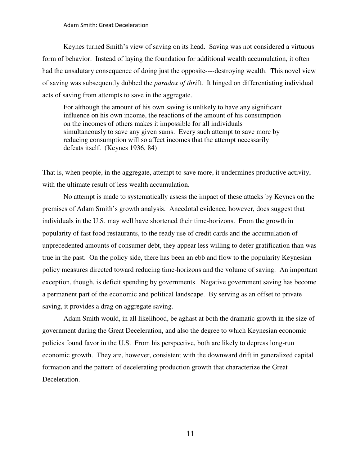Keynes turned Smith's view of saving on its head. Saving was not considered a virtuous form of behavior. Instead of laying the foundation for additional wealth accumulation, it often had the unsalutary consequence of doing just the opposite----destroying wealth. This novel view of saving was subsequently dubbed the *paradox of thri*ft. It hinged on differentiating individual acts of saving from attempts to save in the aggregate.

For although the amount of his own saving is unlikely to have any significant influence on his own income, the reactions of the amount of his consumption on the incomes of others makes it impossible for all individuals simultaneously to save any given sums. Every such attempt to save more by reducing consumption will so affect incomes that the attempt necessarily defeats itself. (Keynes 1936, 84)

That is, when people, in the aggregate, attempt to save more, it undermines productive activity, with the ultimate result of less wealth accumulation.

No attempt is made to systematically assess the impact of these attacks by Keynes on the premises of Adam Smith's growth analysis. Anecdotal evidence, however, does suggest that individuals in the U.S. may well have shortened their time-horizons. From the growth in popularity of fast food restaurants, to the ready use of credit cards and the accumulation of unprecedented amounts of consumer debt, they appear less willing to defer gratification than was true in the past. On the policy side, there has been an ebb and flow to the popularity Keynesian policy measures directed toward reducing time-horizons and the volume of saving. An important exception, though, is deficit spending by governments. Negative government saving has become a permanent part of the economic and political landscape. By serving as an offset to private saving, it provides a drag on aggregate saving.

Adam Smith would, in all likelihood, be aghast at both the dramatic growth in the size of government during the Great Deceleration, and also the degree to which Keynesian economic policies found favor in the U.S. From his perspective, both are likely to depress long-run economic growth. They are, however, consistent with the downward drift in generalized capital formation and the pattern of decelerating production growth that characterize the Great Deceleration.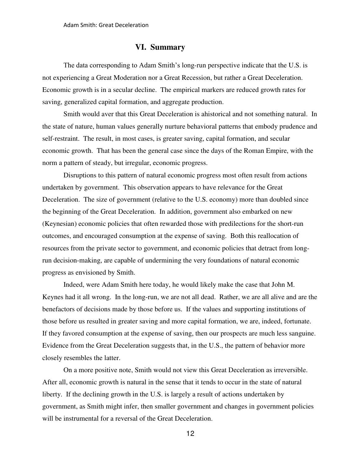## **VI. Summary**

The data corresponding to Adam Smith's long-run perspective indicate that the U.S. is not experiencing a Great Moderation nor a Great Recession, but rather a Great Deceleration. Economic growth is in a secular decline. The empirical markers are reduced growth rates for saving, generalized capital formation, and aggregate production.

Smith would aver that this Great Deceleration is ahistorical and not something natural. In the state of nature, human values generally nurture behavioral patterns that embody prudence and self-restraint. The result, in most cases, is greater saving, capital formation, and secular economic growth. That has been the general case since the days of the Roman Empire, with the norm a pattern of steady, but irregular, economic progress.

Disruptions to this pattern of natural economic progress most often result from actions undertaken by government. This observation appears to have relevance for the Great Deceleration. The size of government (relative to the U.S. economy) more than doubled since the beginning of the Great Deceleration. In addition, government also embarked on new (Keynesian) economic policies that often rewarded those with predilections for the short-run outcomes, and encouraged consumption at the expense of saving. Both this reallocation of resources from the private sector to government, and economic policies that detract from longrun decision-making, are capable of undermining the very foundations of natural economic progress as envisioned by Smith.

Indeed, were Adam Smith here today, he would likely make the case that John M. Keynes had it all wrong. In the long-run, we are not all dead. Rather, we are all alive and are the benefactors of decisions made by those before us. If the values and supporting institutions of those before us resulted in greater saving and more capital formation, we are, indeed, fortunate. If they favored consumption at the expense of saving, then our prospects are much less sanguine. Evidence from the Great Deceleration suggests that, in the U.S., the pattern of behavior more closely resembles the latter.

On a more positive note, Smith would not view this Great Deceleration as irreversible. After all, economic growth is natural in the sense that it tends to occur in the state of natural liberty. If the declining growth in the U.S. is largely a result of actions undertaken by government, as Smith might infer, then smaller government and changes in government policies will be instrumental for a reversal of the Great Deceleration.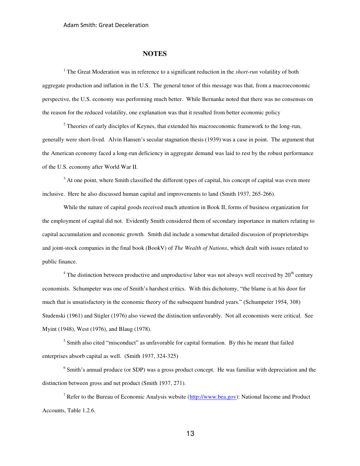#### **NOTES**

<sup>1</sup> The Great Moderation was in reference to a significant reduction in the *short-run* volatility of both aggregate production and inflation in the U.S. The general tenor of this message was that, from a macroeconomic perspective, the U.S. economy was performing much better. While Bernanke noted that there was no consensus on the reason for the reduced volatility, one explanation was that it resulted from better economic policy

 $2^2$  Theories of early disciples of Keynes, that extended his macroeconomic framework to the long-run, generally were short-lived. Alvin Hansen's secular stagnation thesis (1939) was a case in point. The argument that the American economy faced a long-run deficiency in aggregate demand was laid to rest by the robust performance of the U.S. economy after World War II.

<sup>3</sup> At one point, where Smith classified the different types of capital, his concept of capital was even more inclusive. Here he also discussed human capital and improvements to land (Smith 1937, 265-266).

While the nature of capital goods received much attention in Book II, forms of business organization for the employment of capital did not. Evidently Smith considered them of secondary importance in matters relating to capital accumulation and economic growth. Smith did include a somewhat detailed discussion of proprietorships and joint-stock companies in the final book (BookV) of *The Wealth of Nations*, which dealt with issues related to public finance.

<sup>4</sup> The distinction between productive and unproductive labor was not always well received by  $20<sup>th</sup>$  century economists. Schumpeter was one of Smith's harshest critics. With this dichotomy, "the blame is at his door for much that is unsatisfactory in the economic theory of the subsequent hundred years." (Schumpeter 1954, 308) Studenski (1961) and Stigler (1976) also viewed the distinction unfavorably. Not all economists were critical. See Myint (1948), West (1976), and Blaug (1978).

<sup>5</sup> Smith also cited "misconduct" as unfavorable for capital formation. By this he meant that failed enterprises absorb capital as well. (Smith 1937, 324-325)

<sup>6</sup> Smith's annual produce (or SDP) was a gross product concept. He was familiar with depreciation and the distinction between gross and net product (Smith 1937, 271).

<sup>7</sup> Refer to the Bureau of Economic Analysis website [\(http://www.bea.gov\)](http://www.bea.gov/): National Income and Product Accounts, Table 1.2.6.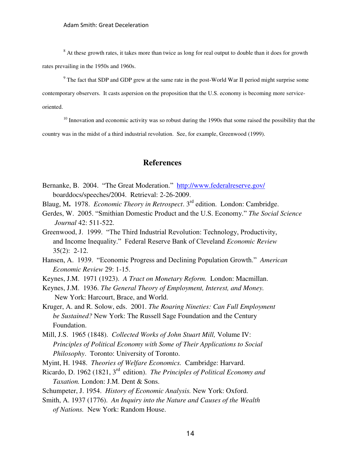<sup>8</sup> At these growth rates, it takes more than twice as long for real output to double than it does for growth rates prevailing in the 1950s and 1960s.

 $9$  The fact that SDP and GDP grew at the same rate in the post-World War II period might surprise some contemporary observers. It casts aspersion on the proposition that the U.S. economy is becoming more serviceoriented.

 $10$  Innovation and economic activity was so robust during the 1990s that some raised the possibility that the country was in the midst of a third industrial revolution. See, for example, Greenwood (1999).

## **References**

- Bernanke, B.2004. "The Great Moderation." <http://www.federalreserve.gov/> boarddocs/speeches/2004. Retrieval: 2-26-2009.
- Blaug, M**.** 1978. *Economic Theory in Retrospect*. 3rd edition. London: Cambridge.
- Gerdes, W.2005. "Smithian Domestic Product and the U.S. Economy." *The Social Science Journal* 42: 511-522.
- Greenwood, J. 1999. "The Third Industrial Revolution: Technology, Productivity, and Income Inequality." Federal Reserve Bank of Cleveland *Economic Review* 35(2): 2-12.
- Hansen, A. 1939. "Economic Progress and Declining Population Growth." *American Economic Review* 29: 1-15.
- Keynes, J.M.1971 (1923). *A Tract on Monetary Reform.* London: Macmillan.
- Keynes, J.M. 1936. *The General Theory of Employment, Interest, and Money.*  New York: Harcourt, Brace, and World.
- Kruger, A. and R. Solow, eds. 2001. *The Roaring Nineties: Can Full Employment be Sustained?* New York: The Russell Sage Foundation and the Century Foundation.
- Mill, J.S.1965 (1848). *Collected Works of John Stuart Mill,* Volume IV: *Principles of Political Economy with Some of Their Applications to Social Philosophy*. Toronto: University of Toronto.
- Myint, H. 1948. *Theories of Welfare Economics.* Cambridge: Harvard.
- Ricardo, D. 1962 (1821, 3rd edition). *The Principles of Political Economy and Taxation.* London: J.M. Dent & Sons.
- Schumpeter, J. 1954.*History of Economic Analysis.* New York: Oxford.
- Smith, A. 1937 (1776). *An Inquiry into the Nature and Causes of the Wealth of Nations.* New York: Random House.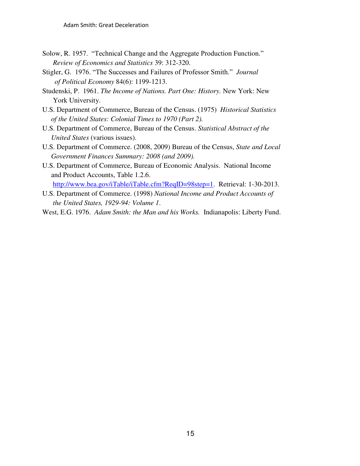- Solow, R. 1957. "Technical Change and the Aggregate Production Function." *Review of Economics and Statistics* 39: 312-320.
- Stigler, G.1976. "The Successes and Failures of Professor Smith." *Journal of Political Economy* 84(6): 1199-1213.
- Studenski, P. 1961. *The Income of Nations. Part One: History.* New York: New York University.
- U.S. Department of Commerce, Bureau of the Census. (1975) *Historical Statistics of the United States: Colonial Times to 1970 (Part 2).*
- U.S. Department of Commerce, Bureau of the Census. *Statistical Abstract of the United States* (various issues).
- U.S. Department of Commerce. (2008, 2009) Bureau of the Census, *State and Local Government Finances Summary: 2008 (and 2009).*
- U.S. Department of Commerce, Bureau of Economic Analysis. National Income and Product Accounts, Table 1.2.6. [http://www.bea.gov/iTable/iTable.cfm?ReqID=98step=1.](http://www.bea.gov/iTable/iTable.cfm?ReqID=98step=1) Retrieval: 1-30-2013.
- U.S. Department of Commerce. (1998) *National Income and Product Accounts of the United States, 1929-94: Volume 1*.
- West, E.G. 1976. *Adam Smith: the Man and his Works.* Indianapolis: Liberty Fund.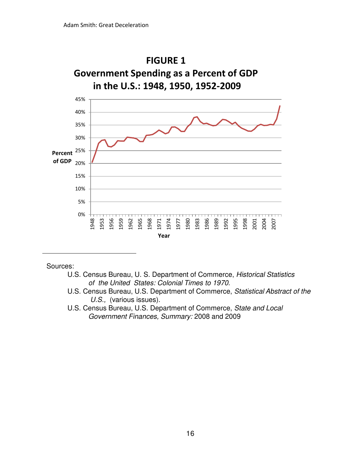

Sources:

- U.S. Census Bureau, U. S. Department of Commerce, *Historical Statistics of the United States: Colonial Times to 1970.*
- U.S. Census Bureau, U.S. Department of Commerce, *Statistical Abstract of the U.S.,* (various issues).
- U.S. Census Bureau, U.S. Department of Commerce, *State and Local Government Finances, Summary:* 2008 and 2009